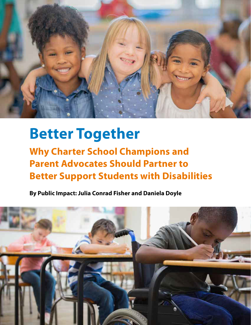

# **Better Together**

**Why Charter School Champions and Parent Advocates Should Partner to Better Support Students with Disabilities** 

**By Public Impact: Julia Conrad Fisher and Daniela Doyle** 

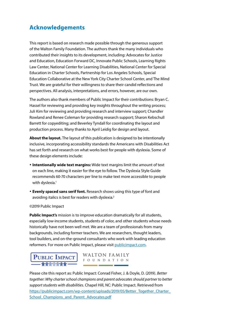### **Acknowledgements**

This report is based on research made possible through the generous support of the Walton Family Foundation. The authors thank the many individuals who contributed their insights to its development, including: Advocates for Justice and Education, Education Forward DC, Innovate Public Schools, Learning Rights Law Center, National Center for Learning Disabilities, National Center for Special Education in Charter Schools, Partnership for Los Angeles Schools, Special Education Collaborative at the New York City Charter School Center, and The Mind Trust. We are grateful for their willingness to share their candid reflections and perspectives. All analysis, interpretations, and errors, however, are our own.

The authors also thank members of Public Impact for their contributions: Bryan C. Hassel for reviewing and providing key insights throughout the writing process; Juli Kim for reviewing and providing research and interview support; Chandler Rowland and Renee Coleman for providing research support; Sharon Kebschull Barrett for copyediting; and Beverley Tyndall for coordinating the layout and production process. Many thanks to April Leidig for design and layout.

**About the layout.** The layout of this publication is designed to be intentionally inclusive, incorporating accessibility standards the Americans with Disabilities Act has set forth and research on what works best for people with dyslexia. Some of these design elements include:

- **Intentionally wide text margins:** Wide text margins limit the amount of text on each line, making it easier for the eye to follow. The Dyslexia Style Guide recommends 60-70 characters per line to make text more accessible to people with dyslexia.<sup>1</sup>
- **Evenly spaced sans serif font.** Research shows using this type of font and avoiding italics is best for readers with dyslexia.<sup>2</sup>

#### ©2019 Public Impact

**Public Impact's** mission is to improve education dramatically for all students, especially low-income students, students of color, and other students whose needs historically have not been well met. We are a team of professionals from many backgrounds, including former teachers. We are researchers, thought leaders, tool builders, and on-the-ground consultants who work with leading education reformers. For more on Public Impact, please visit [publicimpact.com.](http://www.publicimpact.com)

**PUBLIC IMPACT** WALTON FAMILY

Please cite this report as: Public Impact: Conrad Fisher, J. & Doyle, D. (2019). *Better together: Why charter school champions and parent advocates should partner to better support students with disabilities.* Chapel Hill, NC: Public Impact. Retrieved from https://publicimpact.com/wp-content/uploads/2019/05/Better\_Together\_Charter\_ School Champions and Parent Advocates.pdf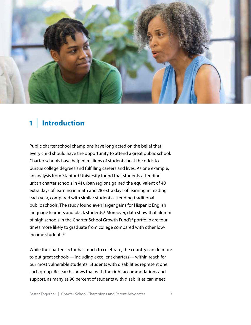

## **1** | **Introduction**

Public charter school champions have long acted on the belief that every child should have the opportunity to attend a great public school. Charter schools have helped millions of students beat the odds to pursue college degrees and fulfilling careers and lives. As one example, an analysis from Stanford University found that students attending urban charter schools in 41 urban regions gained the equivalent of 40 extra days of learning in math and 28 extra days of learning in reading each year, compared with similar students attending traditional public schools. The study found even larger gains for Hispanic English language learners and black students.<sup>3</sup> Moreover, data show that alumni of high schools in the Charter School Growth Fund's<sup>4</sup> portfolio are four times more likely to graduate from college compared with other lowincome students.<sup>5</sup>

While the charter sector has much to celebrate, the country can do more to put great schools — including excellent charters — within reach for our most vulnerable students. Students with disabilities represent one such group. Research shows that with the right accommodations and support, as many as 90 percent of students with disabilities can meet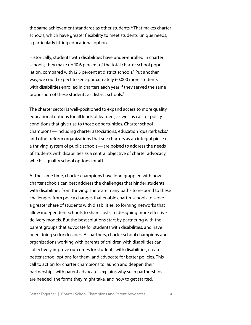the same achievement standards as other students. 6 That makes charter schools, which have greater flexibility to meet students' unique needs, a particularly fitting educational option.

Historically, students with disabilities have under-enrolled in charter schools; they make up 10.6 percent of the total charter school population, compared with 12.5 percent at district schools.<sup>7</sup> Put another way, we could expect to see approximately 60,000 more students with disabilities enrolled in charters each year if they served the same proportion of these students as district schools.8

The charter sector is well-positioned to expand access to more quality educational options for all kinds of learners, as well as call for policy conditions that give rise to those opportunities. Charter school champions — including charter associations, education "quarterbacks," and other reform organizations that see charters as an integral piece of a thriving system of public schools — are poised to address the needs of students with disabilities as a central objective of charter advocacy, which is quality school options for **all**.

At the same time, charter champions have long grappled with how charter schools can best address the challenges that hinder students with disabilities from thriving. There are many paths to respond to these challenges, from policy changes that enable charter schools to serve a greater share of students with disabilities, to forming networks that allow independent schools to share costs, to designing more effective delivery models. But the best solutions start by partnering with the parent groups that advocate for students with disabilities, and have been doing so for decades. As partners, charter school champions and organizations working with parents of children with disabilities can collectively improve outcomes for students with disabilities, create better school options for them, and advocate for better policies. This call to action for charter champions to launch and deepen their partnerships with parent advocates explains why such partnerships are needed, the forms they might take, and how to get started.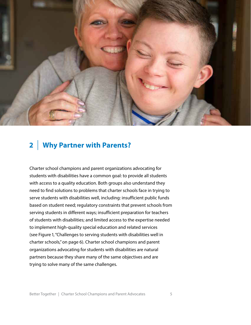

## **2** | **Why Partner with Parents?**

Charter school champions and parent organizations advocating for students with disabilities have a common goal: to provide all students with access to a quality education. Both groups also understand they need to find solutions to problems that charter schools face in trying to serve students with disabilities well, including: insufficient public funds based on student need; regulatory constraints that prevent schools from serving students in different ways; insufficient preparation for teachers of students with disabilities; and limited access to the expertise needed to implement high-quality special education and related services (see Figure 1, "Challenges to serving students with disabilities well in charter schools," on page 6). Charter school champions and parent organizations advocating for students with disabilities are natural partners because they share many of the same objectives and are trying to solve many of the same challenges.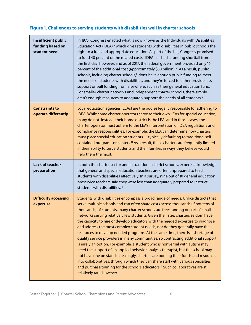#### **Figure 1. Challenges to serving students with disabilities well in charter schools**

| <b>Insufficient public</b><br>funding based on<br>student need | In 1975, Congress enacted what is now known as the Individuals with Disabilities<br>Education Act (IDEA), <sup>9</sup> which gives students with disabilities in public schools the<br>right to a free and appropriate education. As part of the bill, Congress promised<br>to fund 40 percent of the related costs. IDEA has had a funding shortfall from<br>the first day, however, and as of 2017, the federal government provided only 16<br>percent of the additional cost (approximately \$30 billion). <sup>10</sup> As a result, public<br>schools, including charter schools, <sup>11</sup> don't have enough public funding to meet<br>the needs of students with disabilities, and they're forced to either provide less<br>support or pull funding from elsewhere, such as their general education fund.<br>For smaller charter networks and independent charter schools, there simply<br>aren't enough resources to adequately support the needs of all students. <sup>12</sup>                                                                                                                                                                    |
|----------------------------------------------------------------|-----------------------------------------------------------------------------------------------------------------------------------------------------------------------------------------------------------------------------------------------------------------------------------------------------------------------------------------------------------------------------------------------------------------------------------------------------------------------------------------------------------------------------------------------------------------------------------------------------------------------------------------------------------------------------------------------------------------------------------------------------------------------------------------------------------------------------------------------------------------------------------------------------------------------------------------------------------------------------------------------------------------------------------------------------------------------------------------------------------------------------------------------------------------|
| <b>Constraints to</b><br>operate differently                   | Local education agencies (LEAs) are the bodies legally responsible for adhering to<br>IDEA. While some charter operators serve as their own LEAs for special education,<br>many do not. Instead, their home district is the LEA, and in those cases, the<br>charter operator must adhere to the LEA's interpretation of IDEA regulations and<br>compliance responsibilities. For example, the LEA can determine how charters<br>must place special education students - typically defaulting to traditional self-<br>contained programs or centers. <sup>13</sup> As a result, these charters are frequently limited<br>in their ability to serve students and their families in ways they believe would<br>help them the most.                                                                                                                                                                                                                                                                                                                                                                                                                                 |
| <b>Lack of teacher</b><br>preparation                          | In both the charter sector and in traditional district schools, experts acknowledge<br>that general and special education teachers are often unprepared to teach<br>students with disabilities effectively. In a survey, nine out of 10 general education<br>preservice teachers said they were less than adequately prepared to instruct<br>students with disabilities. <sup>14</sup>                                                                                                                                                                                                                                                                                                                                                                                                                                                                                                                                                                                                                                                                                                                                                                          |
| <b>Difficulty accessing</b><br>expertise                       | Students with disabilities encompass a broad range of needs. Unlike districts that<br>serve multiple schools and can often share costs across thousands (if not tens of<br>thousands) of students, many charter schools are freestanding or part of small<br>networks serving relatively few students. Given their size, charters seldom have<br>the capacity to hire or develop educators with the needed expertise to diagnose<br>and address the most complex student needs, nor do they generally have the<br>resources to develop needed programs. At the same time, there is a shortage of<br>quality service providers in many communities, so contracting additional support<br>is rarely an option. For example, a student who is nonverbal with autism may<br>need the support of an applied behavior analysis therapist, but the school may<br>not have one on staff. Increasingly, charters are pooling their funds and resources<br>into collaboratives, through which they can share staff with various specialties<br>and purchase training for the school's educators. <sup>15</sup> Such collaboratives are still<br>relatively rare, however. |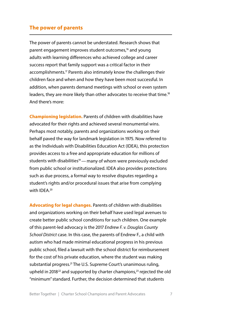#### **The power of parents**

The power of parents cannot be understated. Research shows that parent engagement improves student outcomes,<sup>16</sup> and young adults with learning differences who achieved college and career success report that family support was a critical factor in their accomplishments.<sup>17</sup> Parents also intimately know the challenges their children face and when and how they have been most successful. In addition, when parents demand meetings with school or even system leaders, they are more likely than other advocates to receive that time.<sup>18</sup> And there's more:

**Championing legislation.** Parents of children with disabilities have advocated for their rights and achieved several monumental wins. Perhaps most notably, parents and organizations working on their behalf paved the way for landmark legislation in 1975. Now referred to as the Individuals with Disabilities Education Act (IDEA), this protection provides access to a free and appropriate education for millions of students with disabilities<sup>19</sup> — many of whom were previously excluded from public school or institutionalized. IDEA also provides protections such as due process, a formal way to resolve disputes regarding a student's rights and/or procedural issues that arise from complying with IDEA.<sup>20</sup>

**Advocating for legal changes.** Parents of children with disabilities and organizations working on their behalf have used legal avenues to create better public school conditions for such children. One example of this parent-led advocacy is the 2017 *Endrew F. v. Douglas County School District* case. In this case, the parents of Endrew F., a child with autism who had made minimal educational progress in his previous public school, filed a lawsuit with the school district for reimbursement for the cost of his private education, where the student was making substantial progress.<sup>21</sup> The U.S. Supreme Court's unanimous ruling, upheld in 2018 $^{22}$  and supported by charter champions, $^{23}$  rejected the old "minimum" standard. Further, the decision determined that students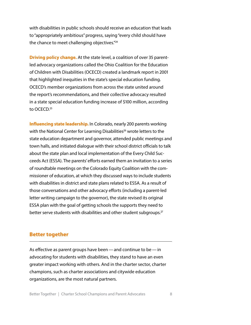with disabilities in public schools should receive an education that leads to "appropriately ambitious" progress, saying "every child should have the chance to meet challenging objectives."<sup>24</sup>

**Driving policy change.** At the state level, a coalition of over 35 parentled advocacy organizations called the Ohio Coalition for the Education of Children with Disabilities (OCECD) created a landmark report in 2001 that highlighted inequities in the state's special education funding. OCECD's member organizations from across the state united around the report's recommendations, and their collective advocacy resulted in a state special education funding increase of \$100 million, according to OCECD.<sup>25</sup>

**Influencing state leadership.** In Colorado, nearly 200 parents working with the National Center for Learning Disabilities<sup>26</sup> wrote letters to the state education department and governor, attended public meetings and town halls, and initiated dialogue with their school district officials to talk about the state plan and local implementation of the Every Child Succeeds Act (ESSA). The parents' efforts earned them an invitation to a series of roundtable meetings on the Colorado Equity Coalition with the commissioner of education, at which they discussed ways to include students with disabilities in district and state plans related to ESSA. As a result of those conversations and other advocacy efforts (including a parent-led letter writing campaign to the governor), the state revised its original ESSA plan with the goal of getting schools the supports they need to better serve students with disabilities and other student subgroups.<sup>27</sup>

#### **Better together**

As effective as parent groups have been — and continue to be — in advocating for students with disabilities, they stand to have an even greater impact working with others. And in the charter sector, charter champions, such as charter associations and citywide education organizations, are the most natural partners.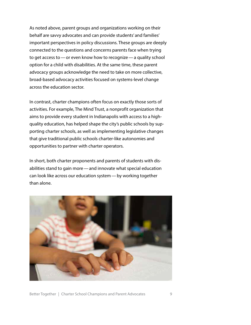As noted above, parent groups and organizations working on their behalf are savvy advocates and can provide students' and families' important perspectives in policy discussions. These groups are deeply connected to the questions and concerns parents face when trying to get access to — or even know how to recognize — a quality school option for a child with disabilities. At the same time, these parent advocacy groups acknowledge the need to take on more collective, broad-based advocacy activities focused on systems-level change across the education sector.

In contrast, charter champions often focus on exactly those sorts of activities. For example, The Mind Trust, a nonprofit organization that aims to provide every student in Indianapolis with access to a highquality education, has helped shape the city's public schools by supporting charter schools, as well as implementing legislative changes that give traditional public schools charter-like autonomies and opportunities to partner with charter operators.

In short, both charter proponents and parents of students with disabilities stand to gain more — and innovate what special education can look like across our education system — by working together than alone.

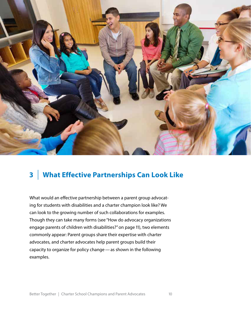

## **3** | **What Effective Partnerships Can Look Like**

What would an effective partnership between a parent group advocating for students with disabilities and a charter champion look like? We can look to the growing number of such collaborations for examples. Though they can take many forms (see "How do advocacy organizations engage parents of children with disabilities?" on page 11), two elements commonly appear: Parent groups share their expertise with charter advocates, and charter advocates help parent groups build their capacity to organize for policy change — as shown in the following examples.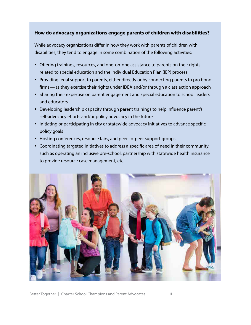#### **How do advocacy organizations engage parents of children with disabilities?**

While advocacy organizations differ in how they work with parents of children with disabilities, they tend to engage in some combination of the following activities:

- Offering trainings, resources, and one-on-one assistance to parents on their rights related to special education and the Individual Education Plan (IEP) process
- Providing legal support to parents, either directly or by connecting parents to pro bono firms — as they exercise their rights under IDEA and/or through a class action approach
- Sharing their expertise on parent engagement and special education to school leaders and educators
- Developing leadership capacity through parent trainings to help influence parent's self-advocacy efforts and/or policy advocacy in the future
- Initiating or participating in city or statewide advocacy initiatives to advance specific policy goals
- Hosting conferences, resource fairs, and peer-to-peer support groups
- Coordinating targeted initiatives to address a specific area of need in their community, such as operating an inclusive pre-school, partnership with statewide health insurance to provide resource case management, etc.

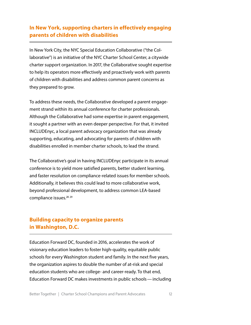#### **In New York, supporting charters in effectively engaging parents of children with disabilities**

In New York City, the NYC Special Education Collaborative ("the Collaborative") is an initiative of the NYC Charter School Center, a citywide charter support organization. In 2017, the Collaborative sought expertise to help its operators more effectively and proactively work with parents of children with disabilities and address common parent concerns as they prepared to grow.

To address these needs, the Collaborative developed a parent engagement strand within its annual conference for charter professionals. Although the Collaborative had some expertise in parent engagement, it sought a partner with an even deeper perspective. For that, it invited INCLUDEnyc, a local parent advocacy organization that was already supporting, educating, and advocating for parents of children with disabilities enrolled in member charter schools, to lead the strand.

The Collaborative's goal in having INCLUDEnyc participate in its annual conference is to yield more satisfied parents, better student learning, and faster resolution on compliance-related issues for member schools. Additionally, it believes this could lead to more collaborative work, beyond professional development, to address common LEA-based compliance issues.<sup>28</sup> <sup>29</sup>

#### **Building capacity to organize parents in Washington, D.C.**

Education Forward DC, founded in 2016, accelerates the work of visionary education leaders to foster high-quality, equitable public schools for every Washington student and family. In the next five years, the organization aspires to double the number of at-risk and special education students who are college- and career-ready. To that end, Education Forward DC makes investments in public schools — including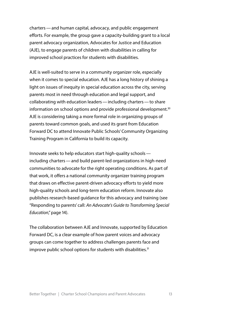charters — and human capital, advocacy, and public engagement efforts. For example, the group gave a capacity-building grant to a local parent advocacy organization, Advocates for Justice and Education (AJE), to engage parents of children with disabilities in calling for improved school practices for students with disabilities.

AJE is well-suited to serve in a community organizer role, especially when it comes to special education. AJE has a long history of shining a light on issues of inequity in special education across the city, serving parents most in need through education and legal support, and collaborating with education leaders — including charters — to share information on school options and provide professional development.<sup>30</sup> AJE is considering taking a more formal role in organizing groups of parents toward common goals, and used its grant from Education Forward DC to attend Innovate Public Schools' Community Organizing Training Program in California to build its capacity.

Innovate seeks to help educators start high-quality schools including charters — and build parent-led organizations in high-need communities to advocate for the right operating conditions. As part of that work, it offers a national community organizer training program that draws on effective parent-driven advocacy efforts to yield more high-quality schools and long-term education reform. Innovate also publishes research-based guidance for this advocacy and training (see "Responding to parents' call: *An Advocate's Guide to Transforming Special Education*," page 14).

The collaboration between AJE and Innovate, supported by Education Forward DC, is a clear example of how parent voices and advocacy groups can come together to address challenges parents face and improve public school options for students with disabilities.<sup>31</sup>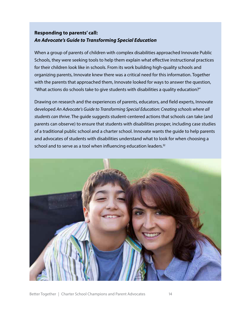#### **Responding to parents' call:**  *An Advocate's Guide to Transforming Special Education*

When a group of parents of children with complex disabilities approached Innovate Public Schools, they were seeking tools to help them explain what effective instructional practices for their children look like in schools. From its work building high-quality schools and organizing parents, Innovate knew there was a critical need for this information. Together with the parents that approached them, Innovate looked for ways to answer the question, "What actions do schools take to give students with disabilities a quality education?"

Drawing on research and the experiences of parents, educators, and field experts, Innovate developed *An Advocate's Guide to Transforming Special Education: Creating schools where all students can thrive*. The guide suggests student-centered actions that schools can take (and parents can observe) to ensure that students with disabilities prosper, including case studies of a traditional public school and a charter school. Innovate wants the guide to help parents and advocates of students with disabilities understand what to look for when choosing a school and to serve as a tool when influencing education leaders.<sup>32</sup>

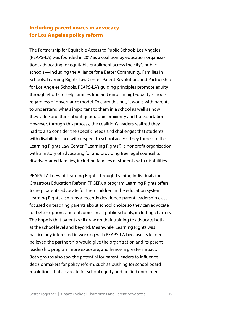#### **Including parent voices in advocacy for Los Angeles policy reform**

The Partnership for Equitable Access to Public Schools Los Angeles (PEAPS-LA) was founded in 2017 as a coalition by education organizations advocating for equitable enrollment across the city's public schools — including the Alliance for a Better Community, Families in Schools, Learning Rights Law Center, Parent Revolution, and Partnership for Los Angeles Schools. PEAPS-LA's guiding principles promote equity through efforts to help families find and enroll in high-quality schools regardless of governance model. To carry this out, it works with parents to understand what's important to them in a school as well as how they value and think about geographic proximity and transportation. However, through this process, the coalition's leaders realized they had to also consider the specific needs and challenges that students with disabilities face with respect to school access. They turned to the Learning Rights Law Center ("Learning Rights"), a nonprofit organization with a history of advocating for and providing free legal counsel to disadvantaged families, including families of students with disabilities.

PEAPS-LA knew of Learning Rights through Training Individuals for Grassroots Education Reform (TIGER), a program Learning Rights offers to help parents advocate for their children in the education system. Learning Rights also runs a recently developed parent leadership class focused on teaching parents about school choice so they can advocate for better options and outcomes in all public schools, including charters. The hope is that parents will draw on their training to advocate both at the school level and beyond. Meanwhile, Learning Rights was particularly interested in working with PEAPS-LA because its leaders believed the partnership would give the organization and its parent leadership program more exposure, and hence, a greater impact. Both groups also saw the potential for parent leaders to influence decisionmakers for policy reform, such as pushing for school board resolutions that advocate for school equity and unified enrollment.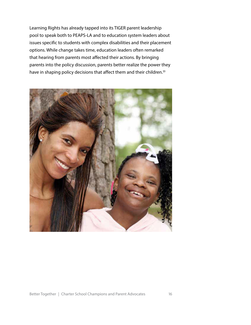Learning Rights has already tapped into its TIGER parent leadership pool to speak both to PEAPS-LA and to education system leaders about issues specific to students with complex disabilities and their placement options. While change takes time, education leaders often remarked that hearing from parents most affected their actions. By bringing parents into the policy discussion, parents better realize the power they have in shaping policy decisions that affect them and their children.<sup>33</sup>

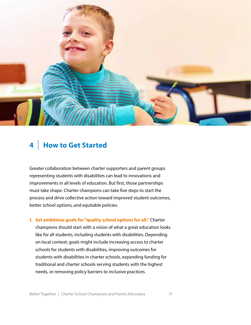

## **4** | **How to Get Started**

Greater collaboration between charter supporters and parent groups representing students with disabilities can lead to innovations and improvements in all levels of education. But first, those partnerships must take shape. Charter champions can take five steps to start the process and drive collective action toward improved student outcomes, better school options, and equitable policies.

**1. Set ambitious goals for "quality school options for all."** Charter champions should start with a vision of what a great education looks like for all students, including students with disabilities. Depending on local context, goals might include increasing access to charter schools for students with disabilities, improving outcomes for students with disabilities in charter schools, expanding funding for traditional and charter schools serving students with the highest needs, or removing policy barriers to inclusive practices.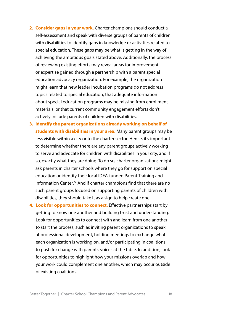- **2. Consider gaps in your work.** Charter champions should conduct a self-assessment and speak with diverse groups of parents of children with disabilities to identify gaps in knowledge or activities related to special education. These gaps may be what is getting in the way of achieving the ambitious goals stated above. Additionally, the process of reviewing existing efforts may reveal areas for improvement or expertise gained through a partnership with a parent special education advocacy organization. For example, the organization might learn that new leader incubation programs do not address topics related to special education, that adequate information about special education programs may be missing from enrollment materials, or that current community engagement efforts don't actively include parents of children with disabilities.
- **3. Identify the parent organizations already working on behalf of students with disabilities in your area.** Many parent groups may be less visible within a city or to the charter sector. Hence, it's important to determine whether there are any parent groups actively working to serve and advocate for children with disabilities in your city, and if so, exactly what they are doing. To do so, charter organizations might ask parents in charter schools where they go for support on special education or identify their local IDEA-funded Parent Training and Information [Center.34](https://Center.34) And if charter champions find that there are no such parent groups focused on supporting parents of children with disabilities, they should take it as a sign to help create one.
- **4. Look for opportunities to connect.** Effective partnerships start by getting to know one another and building trust and understanding. Look for opportunities to connect with and learn from one another to start the process, such as inviting parent organizations to speak at professional development, holding meetings to exchange what each organization is working on, and/or participating in coalitions to push for change with parents' voices at the table. In addition, look for opportunities to highlight how your missions overlap and how your work could complement one another, which may occur outside of existing coalitions.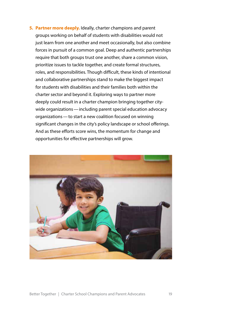**5. Partner more deeply.** Ideally, charter champions and parent groups working on behalf of students with disabilities would not just learn from one another and meet occasionally, but also combine forces in pursuit of a common goal. Deep and authentic partnerships require that both groups trust one another, share a common vision, prioritize issues to tackle together, and create formal structures, roles, and responsibilities. Though difficult, these kinds of intentional and collaborative partnerships stand to make the biggest impact for students with disabilities and their families both within the charter sector and beyond it. Exploring ways to partner more deeply could result in a charter champion bringing together citywide organizations — including parent special education advocacy organizations — to start a new coalition focused on winning significant changes in the city's policy landscape or school offerings. And as these efforts score wins, the momentum for change and opportunities for effective partnerships will grow.

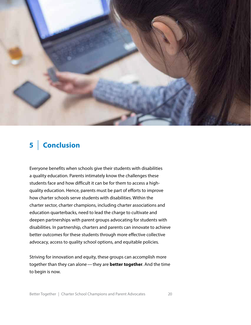

## **5** | **Conclusion**

Everyone benefits when schools give their students with disabilities a quality education. Parents intimately know the challenges these students face and how difficult it can be for them to access a highquality education. Hence, parents must be part of efforts to improve how charter schools serve students with disabilities. Within the charter sector, charter champions, including charter associations and education quarterbacks, need to lead the charge to cultivate and deepen partnerships with parent groups advocating for students with disabilities. In partnership, charters and parents can innovate to achieve better outcomes for these students through more effective collective advocacy, access to quality school options, and equitable policies.

Striving for innovation and equity, these groups can accomplish more together than they can alone — they are **better together**. And the time to begin is now.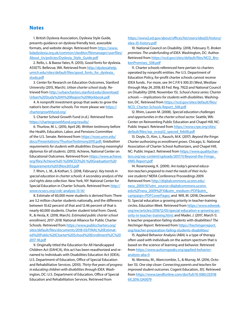#### **Notes**

1. British Dyslexia Association, Dyslexia Style Guide, presents guidance on dyslexia friendly text, assessible formats, and website design. Retrieved from [https://www.](https://www.bdadyslexia.org.uk/common/ckeditor/filemanager/userfiles/About_Us/policies/Dyslexia_Style_Guide.pdf)  [bdadyslexia.org.uk/common/ckeditor/filemanager/userfiles/](https://cdn.bdadyslexia.org.uk/documents/Advice/style-guide/Dyslexia_Style_Guide_2018-final-1.pdf?mtime=20190409173949) [About\\_Us/policies/Dyslexia\\_Style\\_Guide.pdf](https://www.bdadyslexia.org.uk/common/ckeditor/filemanager/userfiles/About_Us/policies/Dyslexia_Style_Guide.pdf)

2. Rello, L. & Baeza-Yates, R. (2013), Good fonts for dyslexia. ASSETS. Bellevue, WA. Retrieved from [http://dyslexiahelp.](http://dyslexiahelp.umich.edu/sites/default/files/good_fonts_for_dyslexia_study.pdf) umich.edu/sites/default/files/good\_fonts\_for\_dyslexia [study.pdf](http://dyslexiahelp.umich.edu/sites/default/files/good_fonts_for_dyslexia_study.pdf)

3. Center for Research on Education Outcomes, Stanford University (2015, March). *Urban charter school study*. Retrieved from [http://urbancharters.stanford.edu/download/](http://urbancharters.stanford.edu/download/Urban%20Study%2041%20Region%20Workbook.pdf)  [Urban%20Study%2041%20Region%20Workbook.pdf](http://urbancharters.stanford.edu/download/Urban%20Study%2041%20Region%20Workbook.pdf) 

4. A nonprofit investment group that seeks to grow the nation's best charter schools. For more please see [https://](https://chartergrowthfund.org/) [chartergrowthfund.org/](https://chartergrowthfund.org/)

5. Charter School Growth Fund (n.d.). Retrieved from <https://chartergrowthfund.org/results/>

6. Thurlow, M. L. (2010, April 28). Written testimony before the Health, Education, Labor, and Pensions Committee of the U.S. Senate. Retrieved from [https://nceo.umn.edu/](https://nceo.umn.edu/docs/Presentations/ThurlowTestimony2010.pdf) [docs/Presentations/ThurlowTestimony2010.pdf](https://nceo.umn.edu/docs/Presentations/ThurlowTestimony2010.pdf); *Graduation requirements for students with disabilities: Ensuring meaningful diplomas for all students. (*2013). Achieve, National Center on Educational Outcomes. Retrieved from [https://www.achieve.](https://www.achieve.org/files/Achieve%20-%20NCEO%20-%20Graduation%20Requirements%2013Nov2013.pdf)  [org/files/Achieve%20-%20NCEO%20-%20Graduation%20](https://www.achieve.org/files/Achieve%20-%20NCEO%20-%20Graduation%20Requirements%2013Nov2013.pdf) [Requirements%2013Nov2013.pdf](https://www.achieve.org/files/Achieve%20-%20NCEO%20-%20Graduation%20Requirements%2013Nov2013.pdf) 

7. Rhim, L. M., & Kothari, S. (2018, February). *Key trends in special education in charter schools: A secondary analysis of the civil rights data collection.* New York, NY: National Center for Special Education in Charter Schools. Retrieved from [http://](http://www.ncsecs.org/crdc-analysis-13-14/)  [www.ncsecs.org/crdc-analysis-13-14/](http://www.ncsecs.org/crdc-analysis-13-14/)

8. Estimate of 60,000 more students is derived from: There are 3.2 million charter students nationally, and the difference between 10.62 percent of that and 12.46 percent of that is nearly 60,000 students. Charter student total from: David, R., & Hesla, K. (2018, March). *Estimated public charter school enrollment, 2017–2018.* National Alliance for Public Charter Schools. Retrieved from [https://www.publiccharters.org/](https://www.publiccharters.org/sites/default/files/documents/2018-03/FINAL%20Estimated%20Public%20Charter%20School%20Enrollment%2C%202017-18.pdf) [sites/default/files/documents/2018-03/FINAL%20Estimat](https://www.publiccharters.org/sites/default/files/documents/2018-03/FINAL%20Estimated%20Public%20Charter%20School%20Enrollment%2C%202017-18.pdf)[ed%20Public%20Charter%20School%20Enrollment%2C%20](https://www.publiccharters.org/sites/default/files/documents/2018-03/FINAL%20Estimated%20Public%20Charter%20School%20Enrollment%2C%202017-18.pdf)  [2017-18.pdf](https://www.publiccharters.org/sites/default/files/documents/2018-03/FINAL%20Estimated%20Public%20Charter%20School%20Enrollment%2C%202017-18.pdf)

9. Originally titled the Education for All Handicapped Children Act (EAHCA), this act has been reauthorized and renamed to Individuals with Disabilities Education Act (IDEA). U.S. Department of Education, Office of Special Education and Rehabilitative Services. (2010). *Thirty-five years of progress in educating children with disabilities through IDEA.* Washington, DC: U.S. Department of Education, Office of Special Education and Rehabilitation Services. Retrieved from

#### [https://www2.ed.gov/about/offices/list/osers/idea35/history/](https://www2.ed.gov/about/offices/list/osers/idea35/history/idea-35-history.pdf)  [idea-35-history.pdf](https://www2.ed.gov/about/offices/list/osers/idea35/history/idea-35-history.pdf)

10. National Council on Disability. (2018, February 7). *Broken promises: The underfunding of IDEA.* Washington, DC: Author. Retrieved from [https://ncd.gov/sites/default/files/NCD\\_Bro](https://ncd.gov/sites/default/files/NCD_BrokenPromises_508.pdf)[kenPromises\\_508.pdf](https://ncd.gov/sites/default/files/NCD_BrokenPromises_508.pdf) 

11. Charter schools referenced here pertain to charters operated by nonprofit entities. Per U.S. Department of Education Policy, for-profit charter schools cannot receive IDEA funds.. For more, see 34 C.F.R § 300.33 (West, Westlaw through May 24, 2018; 83 Fed. Reg. 7922) and National Council on Disability (2018, November 15). *School choice series: Charter schools — implications for students with disabilities.* Washington, DC. Retrieved from [https://ncd.gov/sites/default/files/](https://ncd.gov/sites/default/files/NCD_Charter-Schools-Report_508.pdf) [NCD\\_Charter-Schools-Report\\_508.pdf](https://ncd.gov/sites/default/files/NCD_Charter-Schools-Report_508.pdf)

12. Rhim, Lauren M. (2008). *Special education challenges and opportunities in the charter school sector.* Seattle, WA: Center on Reinventing Public Education and Chapel Hill, NC: Public Impact. Retrieved from https://www.crpe.org/sites/ [default/files/wp\\_ncsrp12\\_speced\\_feb08.pdf](https://www.crpe.org/sites/default/files/wp_ncsrp12_speced_feb08.pdf)

13. Doyle, D., Kim, J., Rausch, M.K. (2017). *Beyond the fringe: Charter authorizing as enrollment grows.* Chicago, IL: National Association of Charter School Authorizers, and Chapel Hill, NC: Public Impact. Retrieved from [https://www.qualitychar](https://www.qualitycharters.org/wp-content/uploads/2017/11/Beyond-the-Fringe_HMS-Report.pdf)[ters.org/wp-content/uploads/2017/11/Beyond-the-Fringe\\_](https://www.qualitycharters.org/wp-content/uploads/2017/11/Beyond-the-Fringe_HMS-Report.pdf) [HMS-Report.pdf](https://www.qualitycharters.org/wp-content/uploads/2017/11/Beyond-the-Fringe_HMS-Report.pdf) 

14. Rosenzweig, K. (2009). *Are today's general education teachers prepared to meet the needs of their inclusive students?* NERA Conference Proceedings 2009. Retrieved from [http://digitalcommons.uconn.edu/](http://digitalcommons.uconn.edu/nera_2009/10?utm_source=digitalcommons.uconn.edu%2Fnera_2009%2F10&utm_medium=PDF&utm_campaign=PDFCoverPages)  [nera\\_2009/10?utm\\_source=digitalcommons.uconn.](http://digitalcommons.uconn.edu/nera_2009/10?utm_source=digitalcommons.uconn.edu%2Fnera_2009%2F10&utm_medium=PDF&utm_campaign=PDFCoverPages) [edu%2Fnera\\_2009%2F10&utm\\_medium=PDF&utm\\_](http://digitalcommons.uconn.edu/nera_2009/10?utm_source=digitalcommons.uconn.edu%2Fnera_2009%2F10&utm_medium=PDF&utm_campaign=PDFCoverPages) [campaign=PDFCoverPages;](http://digitalcommons.uconn.edu/nera_2009/10?utm_source=digitalcommons.uconn.edu%2Fnera_2009%2F10&utm_medium=PDF&utm_campaign=PDFCoverPages) and Will, M. (2018, December 5). Special education a growing priority in teacher-training circles. *Education Week*. Retrieved from [https://www.edweek.](https://www.edweek.org/ew/articles/2018/12/05/special-education-a-growing-priority-in-teacher-training.html)  [org/ew/articles/2018/12/05/special-education-a-growing-pri](https://www.edweek.org/ew/articles/2018/12/05/special-education-a-growing-priority-in-teacher-training.html)[ority-in-teacher-training.html;](https://www.edweek.org/ew/articles/2018/12/05/special-education-a-growing-priority-in-teacher-training.html) and Mader, J. (2017, March 1). Is teacher preparation failing students with disabilities? *The Hechinger Report.* Retrieved from [https://hechingerreport.](https://hechingerreport.org/teacher-preparation-failing-students-disabilities/) [org/teacher-preparation-failing-students-disabilities/](https://hechingerreport.org/teacher-preparation-failing-students-disabilities/)

15. Applied Behavior Analysis (ABA) is a type of therapy often used with individuals on the autism spectrum that is based on the science of learning and behavior. Retrieved from [https://www.autismspeaks.org/applied-behavior](https://www.autismspeaks.org/applied-behavior-analysis-aba-0)[analysis-aba-0](https://www.autismspeaks.org/applied-behavior-analysis-aba-0)

16. Mereoiu, M., Abercrombie, S., & Murray, M. (2016, October 13). *One step closer: Connecting parents and teachers for improved student outcomes.* Cogent Education, *3*(1). Retrieved from [https://www.tandfonline.com/doi/full/10.1080/233118](https://www.tandfonline.com/doi/full/10.1080/2331186X.2016.1243079)  [6X.2016.1243079](https://www.tandfonline.com/doi/full/10.1080/2331186X.2016.1243079)